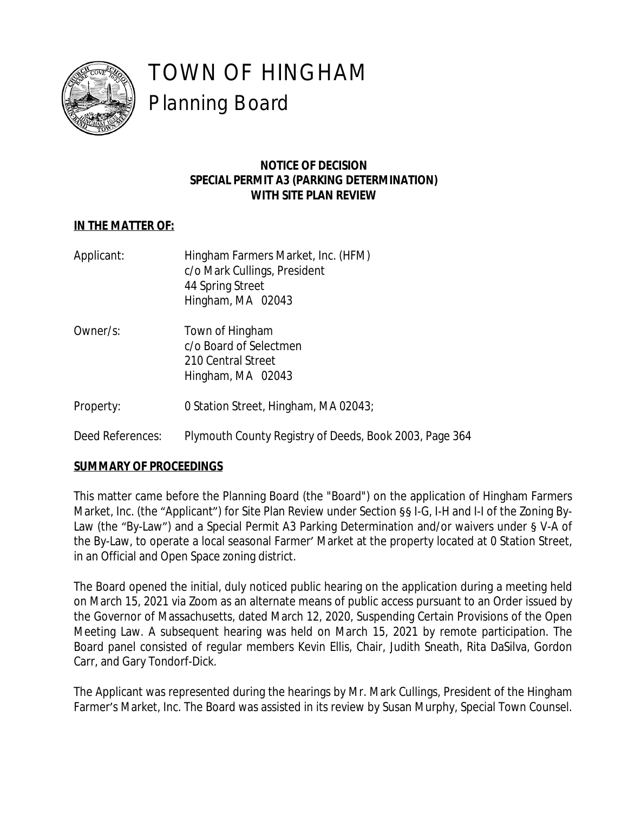

# TOWN OF HINGHAM Planning Board

## **NOTICE OF DECISION SPECIAL PERMIT A3 (PARKING DETERMINATION) WITH SITE PLAN REVIEW**

# **IN THE MATTER OF:**

- Applicant: Hingham Farmers Market, Inc. (HFM) c/o Mark Cullings, President 44 Spring Street Hingham, MA 02043
- Owner/s: Town of Hingham c/o Board of Selectmen 210 Central Street Hingham, MA 02043
- Property: 0 Station Street, Hingham, MA 02043;
- Deed References: Plymouth County Registry of Deeds, Book 2003, Page 364

## **SUMMARY OF PROCEEDINGS**

This matter came before the Planning Board (the "Board") on the application of Hingham Farmers Market, Inc. (the "Applicant") for Site Plan Review under Section §§ I-G, I-H and I-I of the Zoning By-Law (the "By-Law") and a Special Permit A3 Parking Determination and/or waivers under § V-A of the By-Law, to operate a local seasonal Farmer' Market at the property located at 0 Station Street, in an Official and Open Space zoning district.

The Board opened the initial, duly noticed public hearing on the application during a meeting held on March 15, 2021 via Zoom as an alternate means of public access pursuant to an Order issued by the Governor of Massachusetts, dated March 12, 2020, Suspending Certain Provisions of the Open Meeting Law. A subsequent hearing was held on March 15, 2021 by remote participation. The Board panel consisted of regular members Kevin Ellis, Chair, Judith Sneath, Rita DaSilva, Gordon Carr, and Gary Tondorf-Dick.

The Applicant was represented during the hearings by Mr. Mark Cullings, President of the Hingham Farmer's Market, Inc. The Board was assisted in its review by Susan Murphy, Special Town Counsel.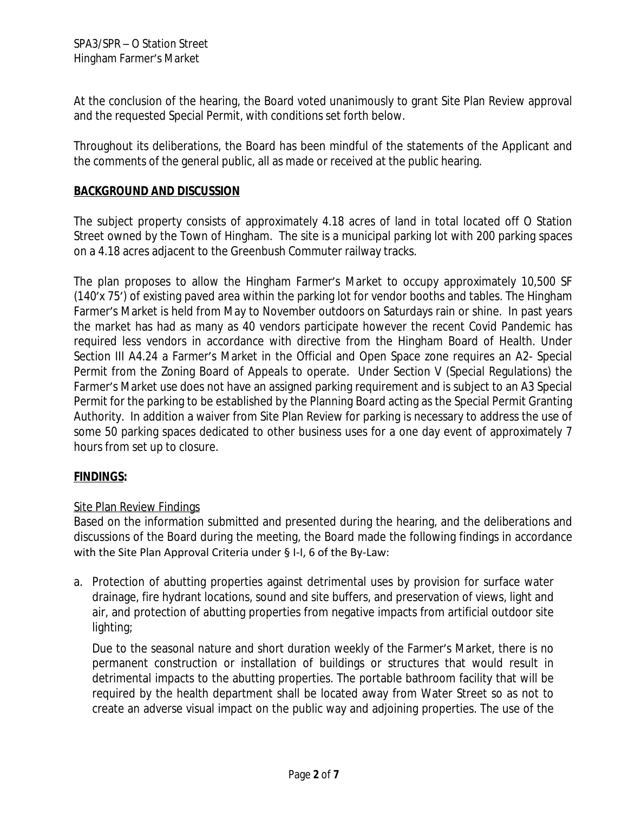At the conclusion of the hearing, the Board voted unanimously to grant Site Plan Review approval and the requested Special Permit, with conditions set forth below.

Throughout its deliberations, the Board has been mindful of the statements of the Applicant and the comments of the general public, all as made or received at the public hearing.

## **BACKGROUND AND DISCUSSION**

The subject property consists of approximately 4.18 acres of land in total located off O Station Street owned by the Town of Hingham. The site is a municipal parking lot with 200 parking spaces on a 4.18 acres adjacent to the Greenbush Commuter railway tracks.

The plan proposes to allow the Hingham Farmer's Market to occupy approximately 10,500 SF (140'x 75') of existing paved area within the parking lot for vendor booths and tables. The Hingham Farmer's Market is held from May to November outdoors on Saturdays rain or shine. In past years the market has had as many as 40 vendors participate however the recent Covid Pandemic has required less vendors in accordance with directive from the Hingham Board of Health. Under Section III A4.24 a Farmer's Market in the Official and Open Space zone requires an A2- Special Permit from the Zoning Board of Appeals to operate. Under Section V (Special Regulations) the Farmer's Market use does not have an assigned parking requirement and is subject to an A3 Special Permit for the parking to be established by the Planning Board acting as the Special Permit Granting Authority. In addition a waiver from Site Plan Review for parking is necessary to address the use of some 50 parking spaces dedicated to other business uses for a one day event of approximately 7 hours from set up to closure.

## **FINDINGS:**

#### Site Plan Review Findings

Based on the information submitted and presented during the hearing, and the deliberations and discussions of the Board during the meeting, the Board made the following findings in accordance with the Site Plan Approval Criteria under § I-I, 6 of the By-Law:

a. Protection of abutting properties against detrimental uses by provision for surface water drainage, fire hydrant locations, sound and site buffers, and preservation of views, light and air, and protection of abutting properties from negative impacts from artificial outdoor site lighting;

Due to the seasonal nature and short duration weekly of the Farmer's Market, there is no permanent construction or installation of buildings or structures that would result in detrimental impacts to the abutting properties. The portable bathroom facility that will be required by the health department shall be located away from Water Street so as not to create an adverse visual impact on the public way and adjoining properties. The use of the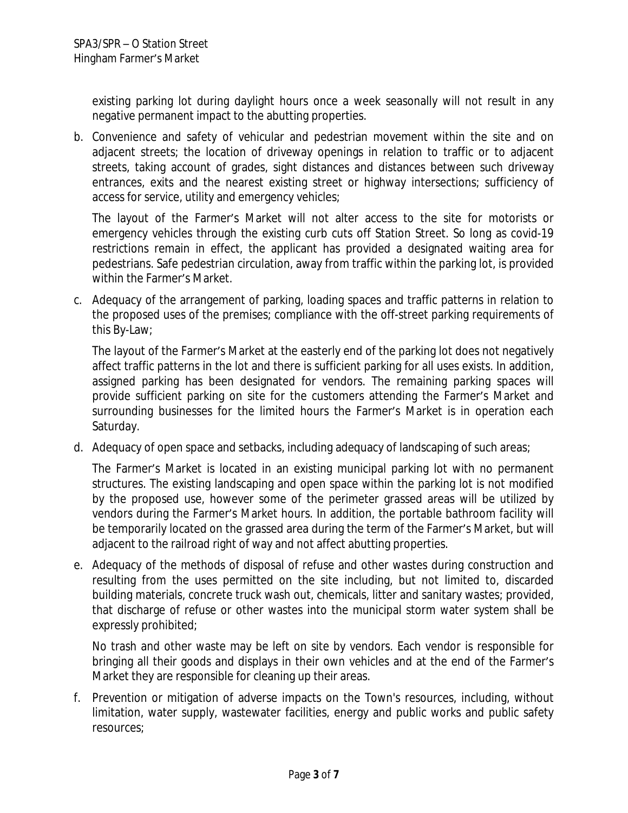existing parking lot during daylight hours once a week seasonally will not result in any negative permanent impact to the abutting properties.

b. Convenience and safety of vehicular and pedestrian movement within the site and on adjacent streets; the location of driveway openings in relation to traffic or to adjacent streets, taking account of grades, sight distances and distances between such driveway entrances, exits and the nearest existing street or highway intersections; sufficiency of access for service, utility and emergency vehicles;

The layout of the Farmer's Market will not alter access to the site for motorists or emergency vehicles through the existing curb cuts off Station Street. So long as covid-19 restrictions remain in effect, the applicant has provided a designated waiting area for pedestrians. Safe pedestrian circulation, away from traffic within the parking lot, is provided within the Farmer's Market.

c. Adequacy of the arrangement of parking, loading spaces and traffic patterns in relation to the proposed uses of the premises; compliance with the off-street parking requirements of this By-Law;

The layout of the Farmer's Market at the easterly end of the parking lot does not negatively affect traffic patterns in the lot and there is sufficient parking for all uses exists. In addition, assigned parking has been designated for vendors. The remaining parking spaces will provide sufficient parking on site for the customers attending the Farmer's Market and surrounding businesses for the limited hours the Farmer's Market is in operation each Saturday.

d. Adequacy of open space and setbacks, including adequacy of landscaping of such areas;

The Farmer's Market is located in an existing municipal parking lot with no permanent structures. The existing landscaping and open space within the parking lot is not modified by the proposed use, however some of the perimeter grassed areas will be utilized by vendors during the Farmer's Market hours. In addition, the portable bathroom facility will be temporarily located on the grassed area during the term of the Farmer's Market, but will adjacent to the railroad right of way and not affect abutting properties.

e. Adequacy of the methods of disposal of refuse and other wastes during construction and resulting from the uses permitted on the site including, but not limited to, discarded building materials, concrete truck wash out, chemicals, litter and sanitary wastes; provided, that discharge of refuse or other wastes into the municipal storm water system shall be expressly prohibited;

No trash and other waste may be left on site by vendors. Each vendor is responsible for bringing all their goods and displays in their own vehicles and at the end of the Farmer's Market they are responsible for cleaning up their areas.

f. Prevention or mitigation of adverse impacts on the Town's resources, including, without limitation, water supply, wastewater facilities, energy and public works and public safety resources;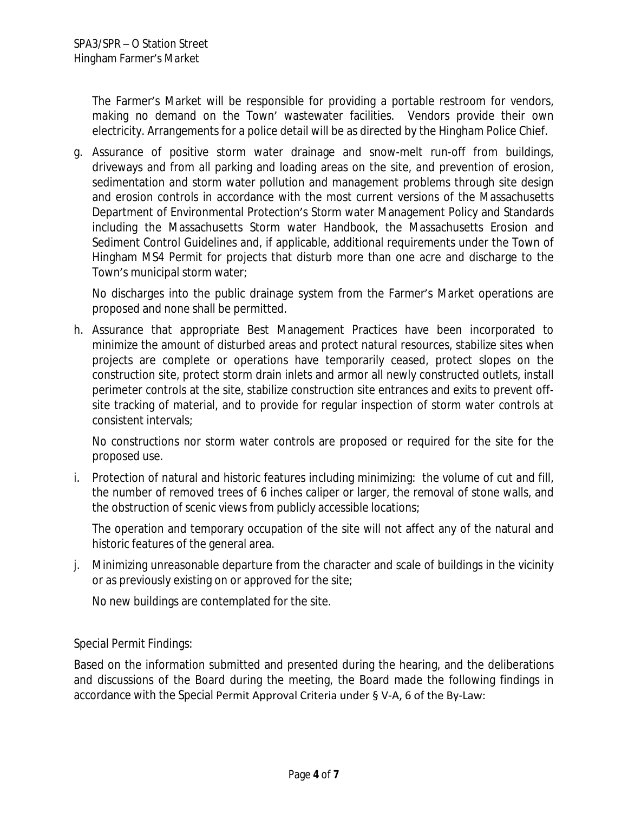The Farmer's Market will be responsible for providing a portable restroom for vendors, making no demand on the Town' wastewater facilities. Vendors provide their own electricity. Arrangements for a police detail will be as directed by the Hingham Police Chief.

g. Assurance of positive storm water drainage and snow-melt run-off from buildings, driveways and from all parking and loading areas on the site, and prevention of erosion, sedimentation and storm water pollution and management problems through site design and erosion controls in accordance with the most current versions of the Massachusetts Department of Environmental Protection's Storm water Management Policy and Standards including the Massachusetts Storm water Handbook, the Massachusetts Erosion and Sediment Control Guidelines and, if applicable, additional requirements under the Town of Hingham MS4 Permit for projects that disturb more than one acre and discharge to the Town's municipal storm water;

No discharges into the public drainage system from the Farmer's Market operations are proposed and none shall be permitted.

h. Assurance that appropriate Best Management Practices have been incorporated to minimize the amount of disturbed areas and protect natural resources, stabilize sites when projects are complete or operations have temporarily ceased, protect slopes on the construction site, protect storm drain inlets and armor all newly constructed outlets, install perimeter controls at the site, stabilize construction site entrances and exits to prevent offsite tracking of material, and to provide for regular inspection of storm water controls at consistent intervals;

No constructions nor storm water controls are proposed or required for the site for the proposed use.

i. Protection of natural and historic features including minimizing: the volume of cut and fill, the number of removed trees of 6 inches caliper or larger, the removal of stone walls, and the obstruction of scenic views from publicly accessible locations;

The operation and temporary occupation of the site will not affect any of the natural and historic features of the general area.

j. Minimizing unreasonable departure from the character and scale of buildings in the vicinity or as previously existing on or approved for the site;

No new buildings are contemplated for the site.

Special Permit Findings:

Based on the information submitted and presented during the hearing, and the deliberations and discussions of the Board during the meeting, the Board made the following findings in accordance with the Special Permit Approval Criteria under § V-A, 6 of the By-Law: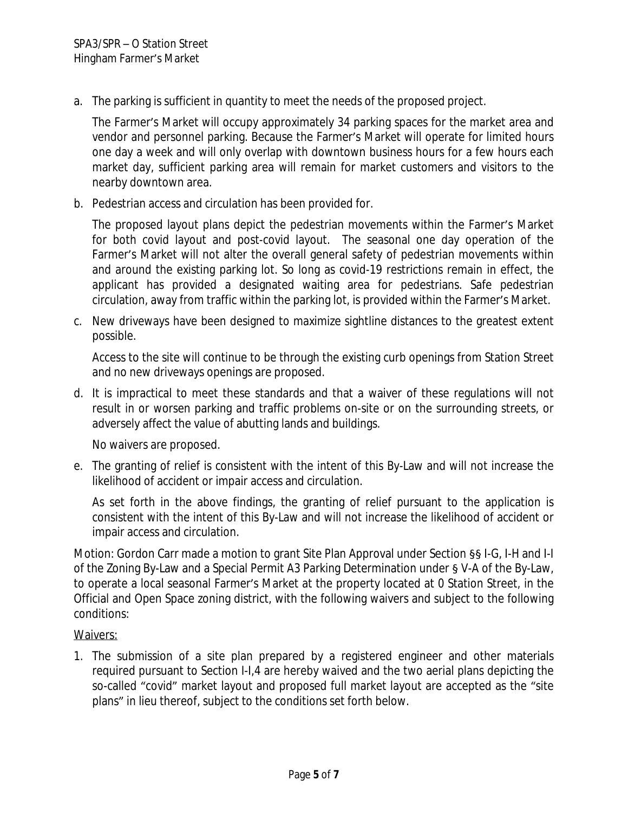a. The parking is sufficient in quantity to meet the needs of the proposed project.

The Farmer's Market will occupy approximately 34 parking spaces for the market area and vendor and personnel parking. Because the Farmer's Market will operate for limited hours one day a week and will only overlap with downtown business hours for a few hours each market day, sufficient parking area will remain for market customers and visitors to the nearby downtown area.

b. Pedestrian access and circulation has been provided for.

The proposed layout plans depict the pedestrian movements within the Farmer's Market for both covid layout and post-covid layout. The seasonal one day operation of the Farmer's Market will not alter the overall general safety of pedestrian movements within and around the existing parking lot. So long as covid-19 restrictions remain in effect, the applicant has provided a designated waiting area for pedestrians. Safe pedestrian circulation, away from traffic within the parking lot, is provided within the Farmer's Market.

c. New driveways have been designed to maximize sightline distances to the greatest extent possible.

Access to the site will continue to be through the existing curb openings from Station Street and no new driveways openings are proposed.

d. It is impractical to meet these standards and that a waiver of these regulations will not result in or worsen parking and traffic problems on-site or on the surrounding streets, or adversely affect the value of abutting lands and buildings.

No waivers are proposed.

e. The granting of relief is consistent with the intent of this By-Law and will not increase the likelihood of accident or impair access and circulation.

As set forth in the above findings, the granting of relief pursuant to the application is consistent with the intent of this By-Law and will not increase the likelihood of accident or impair access and circulation.

Motion: Gordon Carr made a motion to grant Site Plan Approval under Section §§ I-G, I-H and I-I of the Zoning By-Law and a Special Permit A3 Parking Determination under § V-A of the By-Law, to operate a local seasonal Farmer's Market at the property located at 0 Station Street, in the Official and Open Space zoning district, with the following waivers and subject to the following conditions:

#### Waivers:

1. The submission of a site plan prepared by a registered engineer and other materials required pursuant to Section I-I,4 are hereby waived and the two aerial plans depicting the so-called "covid" market layout and proposed full market layout are accepted as the "site plans" in lieu thereof, subject to the conditions set forth below.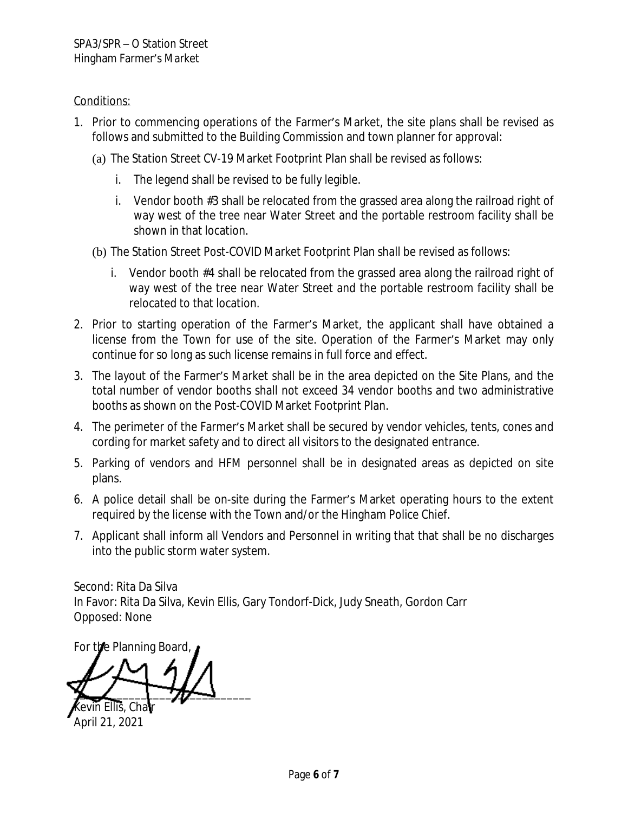## Conditions:

- 1. Prior to commencing operations of the Farmer's Market, the site plans shall be revised as follows and submitted to the Building Commission and town planner for approval:
	- (a) The Station Street CV-19 Market Footprint Plan shall be revised as follows:
		- i. The legend shall be revised to be fully legible.
		- i. Vendor booth #3 shall be relocated from the grassed area along the railroad right of way west of the tree near Water Street and the portable restroom facility shall be shown in that location.
	- (b) The Station Street Post-COVID Market Footprint Plan shall be revised as follows:
		- i. Vendor booth #4 shall be relocated from the grassed area along the railroad right of way west of the tree near Water Street and the portable restroom facility shall be relocated to that location.
- 2. Prior to starting operation of the Farmer's Market, the applicant shall have obtained a license from the Town for use of the site. Operation of the Farmer's Market may only continue for so long as such license remains in full force and effect.
- 3. The layout of the Farmer's Market shall be in the area depicted on the Site Plans, and the total number of vendor booths shall not exceed 34 vendor booths and two administrative booths as shown on the Post-COVID Market Footprint Plan.
- 4. The perimeter of the Farmer's Market shall be secured by vendor vehicles, tents, cones and cording for market safety and to direct all visitors to the designated entrance.
- 5. Parking of vendors and HFM personnel shall be in designated areas as depicted on site plans.
- 6. A police detail shall be on-site during the Farmer's Market operating hours to the extent required by the license with the Town and/or the Hingham Police Chief.
- 7. Applicant shall inform all Vendors and Personnel in writing that that shall be no discharges into the public storm water system.

Second: Rita Da Silva In Favor: Rita Da Silva, Kevin Ellis, Gary Tondorf-Dick, Judy Sneath, Gordon Carr Opposed: None

For the Planning Board,

 $\frac{1}{2}$ Kevin Ellis, Chair

April 21, 2021